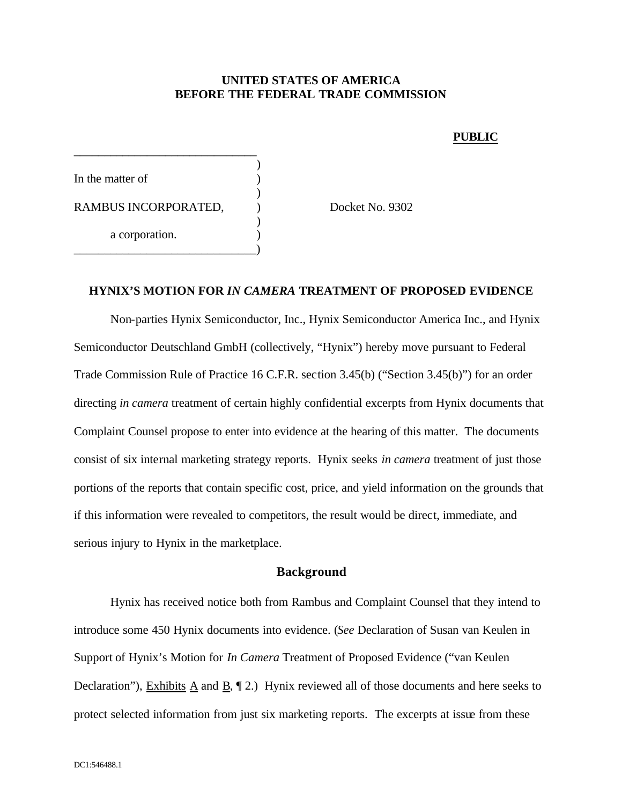#### **UNITED STATES OF AMERICA BEFORE THE FEDERAL TRADE COMMISSION**

#### **PUBLIC**

) In the matter of ) RAMBUS INCORPORATED,  $Docket No. 9302$ ) a corporation. \_\_\_\_\_\_\_\_\_\_\_\_\_\_\_\_\_\_\_\_\_\_\_\_\_\_\_\_\_\_)

**\_\_\_\_\_\_\_\_\_\_\_\_\_\_\_\_\_\_\_\_\_\_\_\_\_\_\_\_\_\_**

#### **HYNIX'S MOTION FOR** *IN CAMERA* **TREATMENT OF PROPOSED EVIDENCE**

Non-parties Hynix Semiconductor, Inc., Hynix Semiconductor America Inc., and Hynix Semiconductor Deutschland GmbH (collectively, "Hynix") hereby move pursuant to Federal Trade Commission Rule of Practice 16 C.F.R. section 3.45(b) ("Section 3.45(b)") for an order directing *in camera* treatment of certain highly confidential excerpts from Hynix documents that Complaint Counsel propose to enter into evidence at the hearing of this matter. The documents consist of six internal marketing strategy reports. Hynix seeks *in camera* treatment of just those portions of the reports that contain specific cost, price, and yield information on the grounds that if this information were revealed to competitors, the result would be direct, immediate, and serious injury to Hynix in the marketplace.

#### **Background**

Hynix has received notice both from Rambus and Complaint Counsel that they intend to introduce some 450 Hynix documents into evidence. (*See* Declaration of Susan van Keulen in Support of Hynix's Motion for *In Camera* Treatment of Proposed Evidence ("van Keulen Declaration"), Exhibits A and B, ¶ 2.) Hynix reviewed all of those documents and here seeks to protect selected information from just six marketing reports. The excerpts at issue from these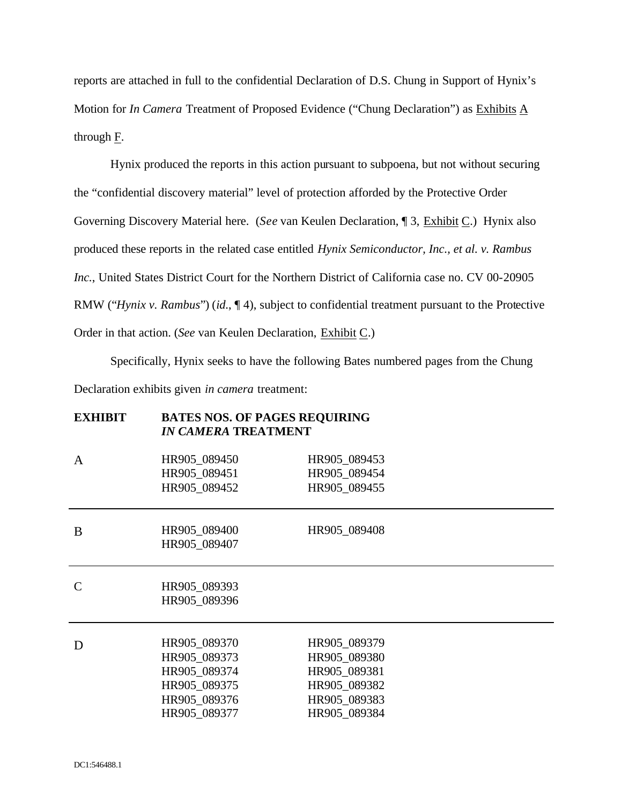reports are attached in full to the confidential Declaration of D.S. Chung in Support of Hynix's Motion for *In Camera* Treatment of Proposed Evidence ("Chung Declaration") as Exhibits A through F.

Hynix produced the reports in this action pursuant to subpoena, but not without securing the "confidential discovery material" level of protection afforded by the Protective Order Governing Discovery Material here. (*See* van Keulen Declaration, ¶ 3, Exhibit C.) Hynix also produced these reports in the related case entitled *Hynix Semiconductor, Inc., et al. v. Rambus Inc.*, United States District Court for the Northern District of California case no. CV 00-20905 RMW ("*Hynix v. Rambus*") (*id*., ¶ 4), subject to confidential treatment pursuant to the Protective Order in that action. (*See* van Keulen Declaration, Exhibit C.)

Specifically, Hynix seeks to have the following Bates numbered pages from the Chung Declaration exhibits given *in camera* treatment:

**EXHIBIT BATES NOS. OF PAGES REQUIRING** 

|               | <b>DITIDD HOD: OF THOLD MUQUIMENT</b><br><b>IN CAMERA TREATMENT</b>                          |                                                                                              |
|---------------|----------------------------------------------------------------------------------------------|----------------------------------------------------------------------------------------------|
| A             | HR905_089450<br>HR905_089451<br>HR905_089452                                                 | HR905_089453<br>HR905_089454<br>HR905_089455                                                 |
| B             | HR905_089400<br>HR905_089407                                                                 | HR905 089408                                                                                 |
| $\mathcal{C}$ | HR905_089393<br>HR905_089396                                                                 |                                                                                              |
| D             | HR905_089370<br>HR905 089373<br>HR905_089374<br>HR905_089375<br>HR905_089376<br>HR905 089377 | HR905_089379<br>HR905 089380<br>HR905_089381<br>HR905_089382<br>HR905_089383<br>HR905 089384 |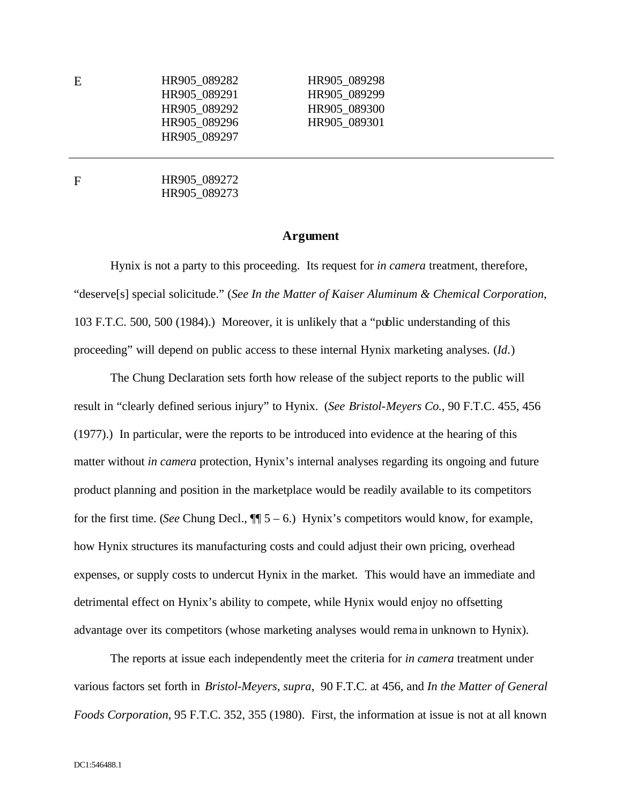| E | HR905 089282 | HR905 089298 |
|---|--------------|--------------|
|   | HR905 089291 | HR905 089299 |
|   | HR905 089292 | HR905 089300 |
|   | HR905 089296 | HR905 089301 |
|   | HR905 089297 |              |
|   |              |              |

F HR905 089272 HR905\_089273

#### **Argument**

Hynix is not a party to this proceeding. Its request for *in camera* treatment, therefore, "deserve[s] special solicitude." (*See In the Matter of Kaiser Aluminum & Chemical Corporation*, 103 F.T.C. 500, 500 (1984).) Moreover, it is unlikely that a "public understanding of this proceeding" will depend on public access to these internal Hynix marketing analyses. (*Id*.)

The Chung Declaration sets forth how release of the subject reports to the public will result in "clearly defined serious injury" to Hynix. (*See Bristol-Meyers Co.*, 90 F.T.C. 455, 456 (1977).) In particular, were the reports to be introduced into evidence at the hearing of this matter without *in camera* protection, Hynix's internal analyses regarding its ongoing and future product planning and position in the marketplace would be readily available to its competitors for the first time. (*See* Chung Decl.,  $\P$  5 – 6.) Hynix's competitors would know, for example, how Hynix structures its manufacturing costs and could adjust their own pricing, overhead expenses, or supply costs to undercut Hynix in the market. This would have an immediate and detrimental effect on Hynix's ability to compete, while Hynix would enjoy no offsetting advantage over its competitors (whose marketing analyses would rema in unknown to Hynix).

The reports at issue each independently meet the criteria for *in camera* treatment under various factors set forth in *Bristol-Meyers*, *supra*, 90 F.T.C. at 456, and *In the Matter of General Foods Corporation*, 95 F.T.C. 352, 355 (1980). First, the information at issue is not at all known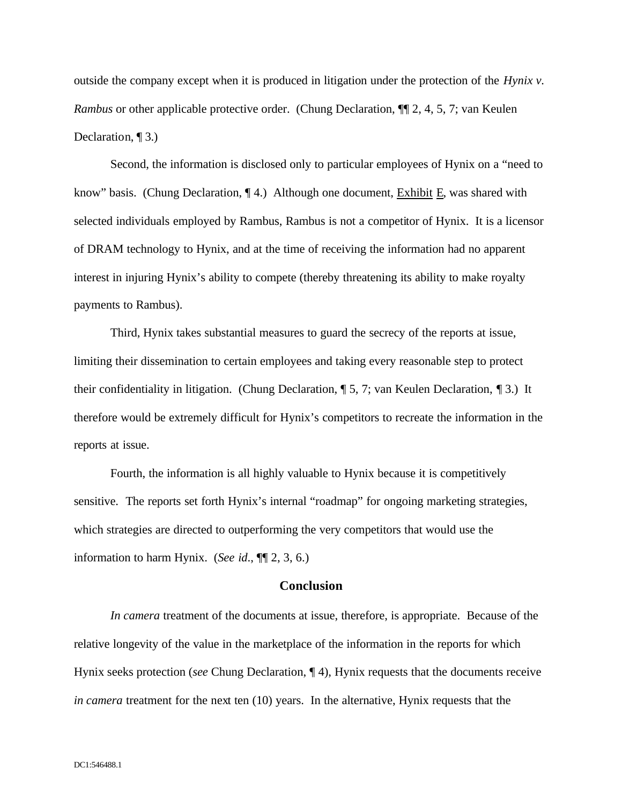outside the company except when it is produced in litigation under the protection of the *Hynix v. Rambus* or other applicable protective order. (Chung Declaration, ¶[ 2, 4, 5, 7; van Keulen Declaration, 1<sup>3.)</sup>

Second, the information is disclosed only to particular employees of Hynix on a "need to know" basis. (Chung Declaration, ¶ 4.) Although one document, Exhibit E, was shared with selected individuals employed by Rambus, Rambus is not a competitor of Hynix. It is a licensor of DRAM technology to Hynix, and at the time of receiving the information had no apparent interest in injuring Hynix's ability to compete (thereby threatening its ability to make royalty payments to Rambus).

Third, Hynix takes substantial measures to guard the secrecy of the reports at issue, limiting their dissemination to certain employees and taking every reasonable step to protect their confidentiality in litigation. (Chung Declaration, ¶ 5, 7; van Keulen Declaration, ¶ 3.) It therefore would be extremely difficult for Hynix's competitors to recreate the information in the reports at issue.

Fourth, the information is all highly valuable to Hynix because it is competitively sensitive. The reports set forth Hynix's internal "roadmap" for ongoing marketing strategies, which strategies are directed to outperforming the very competitors that would use the information to harm Hynix. (*See id*., ¶¶ 2, 3, 6.)

#### **Conclusion**

*In camera* treatment of the documents at issue, therefore, is appropriate. Because of the relative longevity of the value in the marketplace of the information in the reports for which Hynix seeks protection (*see* Chung Declaration, ¶ 4), Hynix requests that the documents receive *in camera* treatment for the next ten (10) years. In the alternative, Hynix requests that the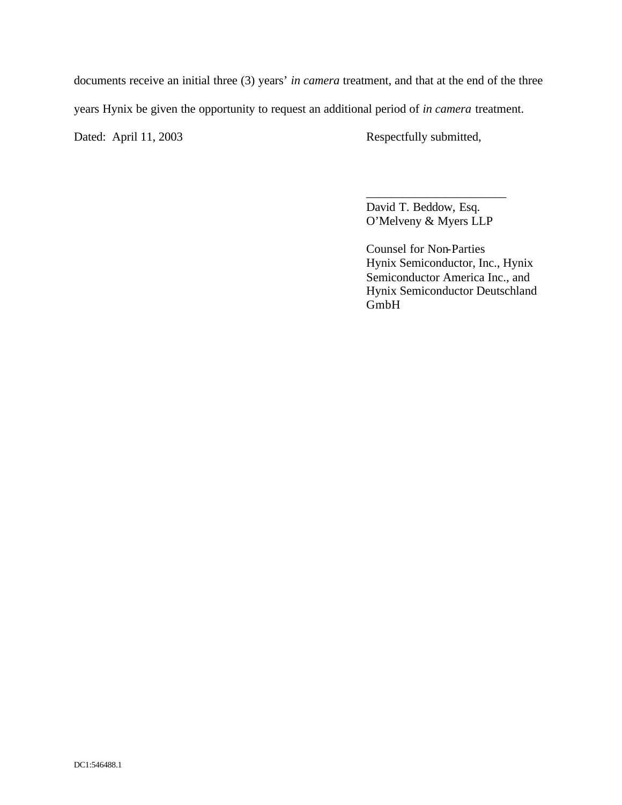documents receive an initial three (3) years' *in camera* treatment, and that at the end of the three

years Hynix be given the opportunity to request an additional period of *in camera* treatment.

Dated: April 11, 2003 Respectfully submitted,

David T. Beddow, Esq. O'Melveny & Myers LLP

\_\_\_\_\_\_\_\_\_\_\_\_\_\_\_\_\_\_\_\_\_\_\_

Counsel for Non-Parties Hynix Semiconductor, Inc., Hynix Semiconductor America Inc., and Hynix Semiconductor Deutschland GmbH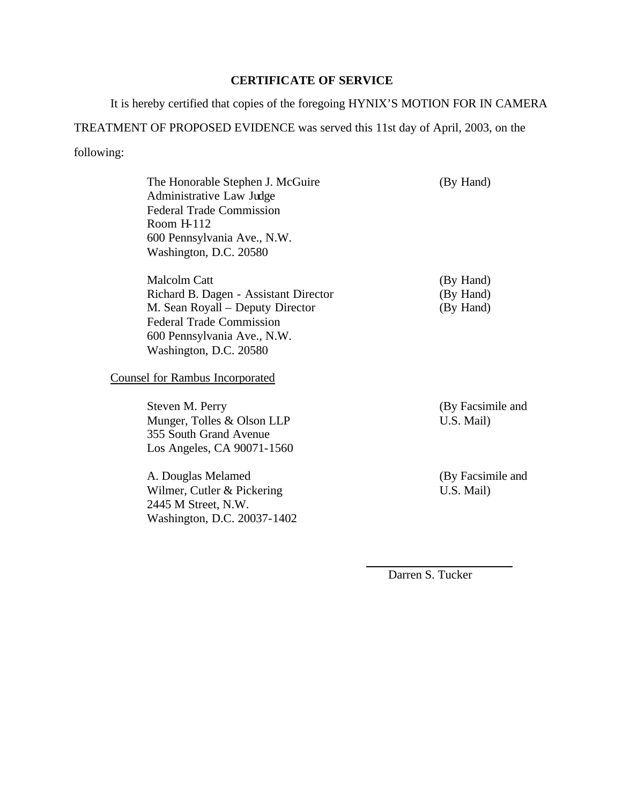# **CERTIFICATE OF SERVICE**

It is hereby certified that copies of the foregoing HYNIX'S MOTION FOR IN CAMERA

# TREATMENT OF PROPOSED EVIDENCE was served this 11st day of April, 2003, on the following:

| The Honorable Stephen J. McGuire<br>Administrative Law Judge<br><b>Federal Trade Commission</b><br>Room $H112$<br>600 Pennsylvania Ave., N.W.<br>Washington, D.C. 20580                      | (By Hand)                           |
|----------------------------------------------------------------------------------------------------------------------------------------------------------------------------------------------|-------------------------------------|
| <b>Malcolm Catt</b><br>Richard B. Dagen - Assistant Director<br>M. Sean Royall – Deputy Director<br><b>Federal Trade Commission</b><br>600 Pennsylvania Ave., N.W.<br>Washington, D.C. 20580 | (By Hand)<br>(By Hand)<br>(By Hand) |
| <b>Counsel for Rambus Incorporated</b>                                                                                                                                                       |                                     |
| Steven M. Perry<br>Munger, Tolles & Olson LLP<br>355 South Grand Avenue<br>Los Angeles, CA 90071-1560                                                                                        | (By Facsimile and<br>U.S. Mail)     |
| A. Douglas Melamed<br>Wilmer, Cutler & Pickering<br>2445 M Street, N.W.<br>Washington, D.C. 20037-1402                                                                                       | (By Facsimile and<br>U.S. Mail)     |
|                                                                                                                                                                                              |                                     |

Darren S. Tucker